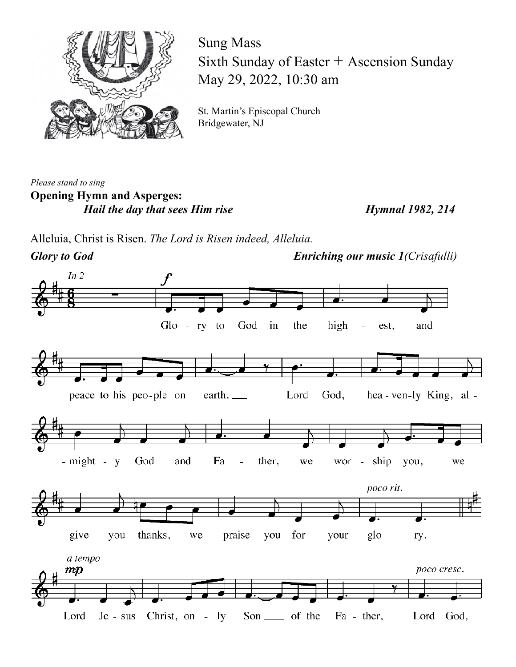

Sung Mass Sixth Sunday of Easter + Ascension Sunday May 29, 2022, 10:30 am

St. Martin's Episcopal Church Bridgewater, NJ

# *Please stand to sing* **Opening Hymn and Asperges:** *Hail the day that sees Him rise Hymnal 1982, 214*

Alleluia, Christ is Risen. *The Lord is Risen indeed, Alleluia.*

*Glory to God Enriching our music 1(Crisafulli)*

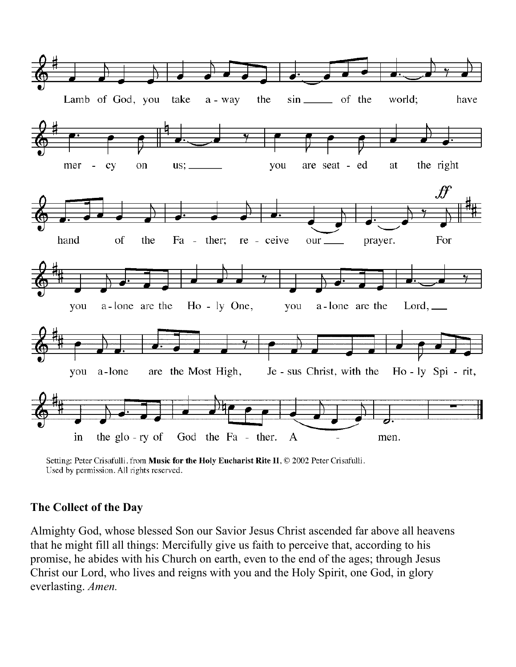

Setting: Peter Crisafulli, from Music for the Holy Eucharist Rite II, © 2002 Peter Crisafulli. Used by permission. All rights reserved.

### **The Collect of the Day**

Almighty God, whose blessed Son our Savior Jesus Christ ascended far above all heavens that he might fill all things: Mercifully give us faith to perceive that, according to his promise, he abides with his Church on earth, even to the end of the ages; through Jesus Christ our Lord, who lives and reigns with you and the Holy Spirit, one God, in glory everlasting. *Amen.*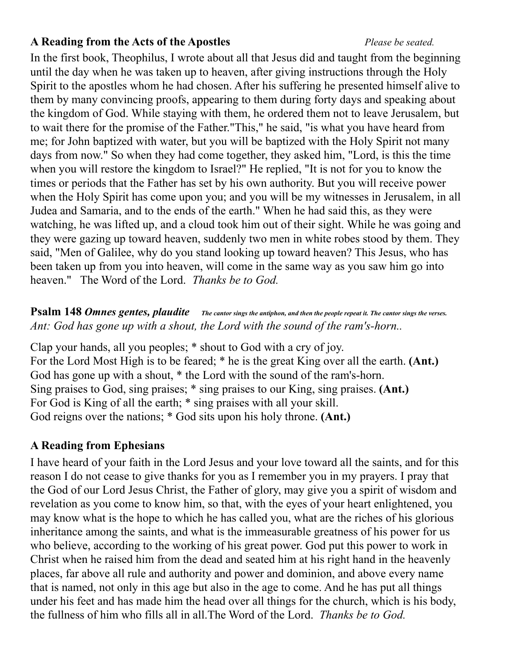## **A Reading from the Acts of the Apostles** *Please be seated.*

In the first book, Theophilus, I wrote about all that Jesus did and taught from the beginning until the day when he was taken up to heaven, after giving instructions through the Holy Spirit to the apostles whom he had chosen. After his suffering he presented himself alive to them by many convincing proofs, appearing to them during forty days and speaking about the kingdom of God. While staying with them, he ordered them not to leave Jerusalem, but to wait there for the promise of the Father."This," he said, "is what you have heard from me; for John baptized with water, but you will be baptized with the Holy Spirit not many days from now." So when they had come together, they asked him, "Lord, is this the time when you will restore the kingdom to Israel?" He replied, "It is not for you to know the times or periods that the Father has set by his own authority. But you will receive power when the Holy Spirit has come upon you; and you will be my witnesses in Jerusalem, in all Judea and Samaria, and to the ends of the earth." When he had said this, as they were watching, he was lifted up, and a cloud took him out of their sight. While he was going and they were gazing up toward heaven, suddenly two men in white robes stood by them. They said, "Men of Galilee, why do you stand looking up toward heaven? This Jesus, who has been taken up from you into heaven, will come in the same way as you saw him go into heaven." The Word of the Lord. *Thanks be to God.*

## **Psalm 148** *Omnes gentes, plaudite The cantor sings the antiphon, and then the people repeat it. The cantor sings the verses. Ant: God has gone up with a shout, the Lord with the sound of the ram's-horn..*

Clap your hands, all you peoples; \* shout to God with a cry of joy. For the Lord Most High is to be feared; \* he is the great King over all the earth. **(Ant.)** God has gone up with a shout, \* the Lord with the sound of the ram's-horn. Sing praises to God, sing praises; \* sing praises to our King, sing praises. **(Ant.)** For God is King of all the earth; \* sing praises with all your skill. God reigns over the nations; \* God sits upon his holy throne. **(Ant.)**

# **A Reading from Ephesians**

I have heard of your faith in the Lord Jesus and your love toward all the saints, and for this reason I do not cease to give thanks for you as I remember you in my prayers. I pray that the God of our Lord Jesus Christ, the Father of glory, may give you a spirit of wisdom and revelation as you come to know him, so that, with the eyes of your heart enlightened, you may know what is the hope to which he has called you, what are the riches of his glorious inheritance among the saints, and what is the immeasurable greatness of his power for us who believe, according to the working of his great power. God put this power to work in Christ when he raised him from the dead and seated him at his right hand in the heavenly places, far above all rule and authority and power and dominion, and above every name that is named, not only in this age but also in the age to come. And he has put all things under his feet and has made him the head over all things for the church, which is his body, the fullness of him who fills all in all.The Word of the Lord. *Thanks be to God.*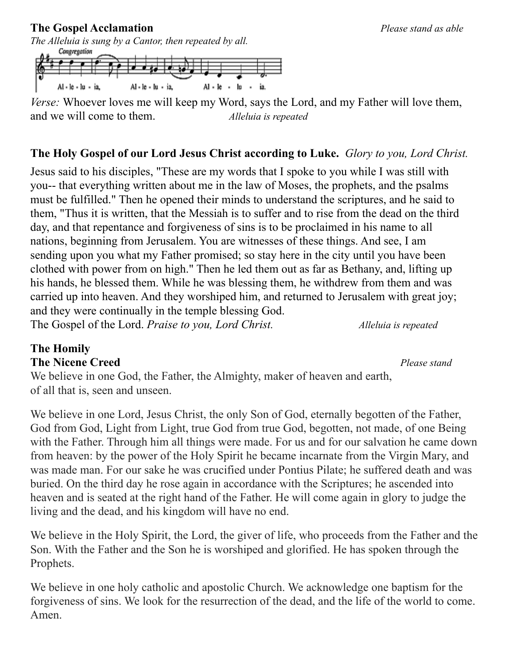# **The Gospel Acclamation** *Please stand as able*

*The Alleluia is sung by a Cantor, then repeated by all.*



*Verse:* Whoever loves me will keep my Word, says the Lord, and my Father will love them, and we will come to them. *Alleluia is repeated*

# **The Holy Gospel of our Lord Jesus Christ according to Luke.** *Glory to you, Lord Christ.*

Jesus said to his disciples, "These are my words that I spoke to you while I was still with you-- that everything written about me in the law of Moses, the prophets, and the psalms must be fulfilled." Then he opened their minds to understand the scriptures, and he said to them, "Thus it is written, that the Messiah is to suffer and to rise from the dead on the third day, and that repentance and forgiveness of sins is to be proclaimed in his name to all nations, beginning from Jerusalem. You are witnesses of these things. And see, I am sending upon you what my Father promised; so stay here in the city until you have been clothed with power from on high." Then he led them out as far as Bethany, and, lifting up his hands, he blessed them. While he was blessing them, he withdrew from them and was carried up into heaven. And they worshiped him, and returned to Jerusalem with great joy; and they were continually in the temple blessing God.

The Gospel of the Lord. *Praise to you, Lord Christ. Alleluia is repeated*

### **The Homily The Nicene Creed** *Please stand*

We believe in one God, the Father, the Almighty, maker of heaven and earth, of all that is, seen and unseen.

We believe in one Lord, Jesus Christ, the only Son of God, eternally begotten of the Father, God from God, Light from Light, true God from true God, begotten, not made, of one Being with the Father. Through him all things were made. For us and for our salvation he came down from heaven: by the power of the Holy Spirit he became incarnate from the Virgin Mary, and was made man. For our sake he was crucified under Pontius Pilate; he suffered death and was buried. On the third day he rose again in accordance with the Scriptures; he ascended into heaven and is seated at the right hand of the Father. He will come again in glory to judge the living and the dead, and his kingdom will have no end.

We believe in the Holy Spirit, the Lord, the giver of life, who proceeds from the Father and the Son. With the Father and the Son he is worshiped and glorified. He has spoken through the Prophets.

We believe in one holy catholic and apostolic Church. We acknowledge one baptism for the forgiveness of sins. We look for the resurrection of the dead, and the life of the world to come. Amen.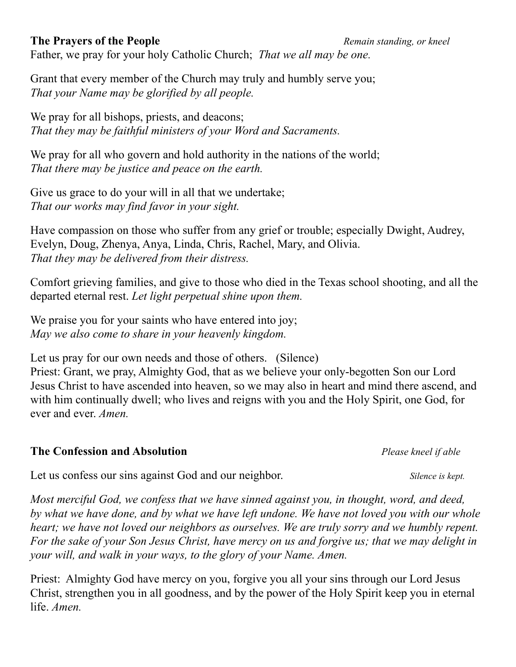### **The Prayers of the People** *Remain standing, or kneel*

Father, we pray for your holy Catholic Church; *That we all may be one.*

Grant that every member of the Church may truly and humbly serve you; *That your Name may be glorified by all people.*

We pray for all bishops, priests, and deacons; *That they may be faithful ministers of your Word and Sacraments.*

We pray for all who govern and hold authority in the nations of the world; *That there may be justice and peace on the earth.*

Give us grace to do your will in all that we undertake; *That our works may find favor in your sight.*

Have compassion on those who suffer from any grief or trouble; especially Dwight, Audrey, Evelyn, Doug, Zhenya, Anya, Linda, Chris, Rachel, Mary, and Olivia. *That they may be delivered from their distress.*

Comfort grieving families, and give to those who died in the Texas school shooting, and all the departed eternal rest. *Let light perpetual shine upon them.*

We praise you for your saints who have entered into joy; *May we also come to share in your heavenly kingdom.*

Let us pray for our own needs and those of others. (Silence)

Priest: Grant, we pray, Almighty God, that as we believe your only-begotten Son our Lord Jesus Christ to have ascended into heaven, so we may also in heart and mind there ascend, and with him continually dwell; who lives and reigns with you and the Holy Spirit, one God, for ever and ever. *Amen.*

# **The Confession and Absolution** *Please kneel if able*

Let us confess our sins against God and our neighbor. *Silence is kept.* 

*Most merciful God, we confess that we have sinned against you, in thought, word, and deed, by what we have done, and by what we have left undone. We have not loved you with our whole heart; we have not loved our neighbors as ourselves. We are truly sorry and we humbly repent. For the sake of your Son Jesus Christ, have mercy on us and forgive us; that we may delight in your will, and walk in your ways, to the glory of your Name. Amen.*

Priest: Almighty God have mercy on you, forgive you all your sins through our Lord Jesus Christ, strengthen you in all goodness, and by the power of the Holy Spirit keep you in eternal life. *Amen.*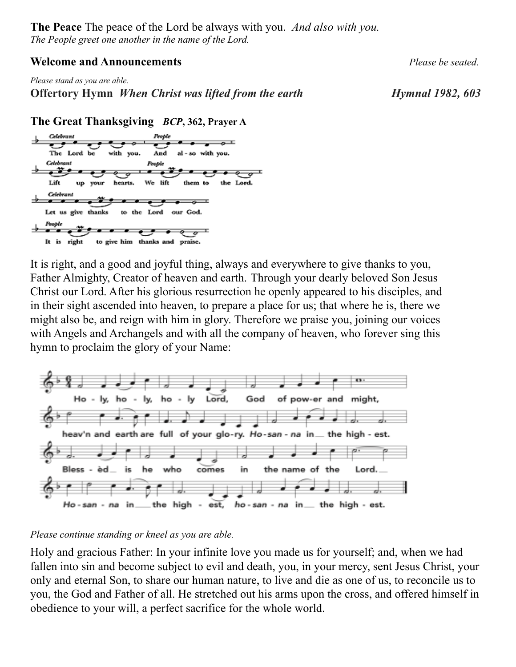**The Peace** The peace of the Lord be always with you. *And also with you. The People greet one another in the name of the Lord.*

#### **Welcome and Announcements** *Please be seated.*

*Please stand as you are able.* **Offertory Hymn** *When Christ was lifted from the earth Hymnal 1982, 603*

**The Great Thanksgiving** *BCP***, 362, Prayer A**



It is right, and a good and joyful thing, always and everywhere to give thanks to you, Father Almighty, Creator of heaven and earth. Through your dearly beloved Son Jesus Christ our Lord. After his glorious resurrection he openly appeared to his disciples, and in their sight ascended into heaven, to prepare a place for us; that where he is, there we might also be, and reign with him in glory. Therefore we praise you, joining our voices with Angels and Archangels and with all the company of heaven, who forever sing this hymn to proclaim the glory of your Name:



#### *Please continue standing or kneel as you are able.*

Holy and gracious Father: In your infinite love you made us for yourself; and, when we had fallen into sin and become subject to evil and death, you, in your mercy, sent Jesus Christ, your only and eternal Son, to share our human nature, to live and die as one of us, to reconcile us to you, the God and Father of all. He stretched out his arms upon the cross, and offered himself in obedience to your will, a perfect sacrifice for the whole world.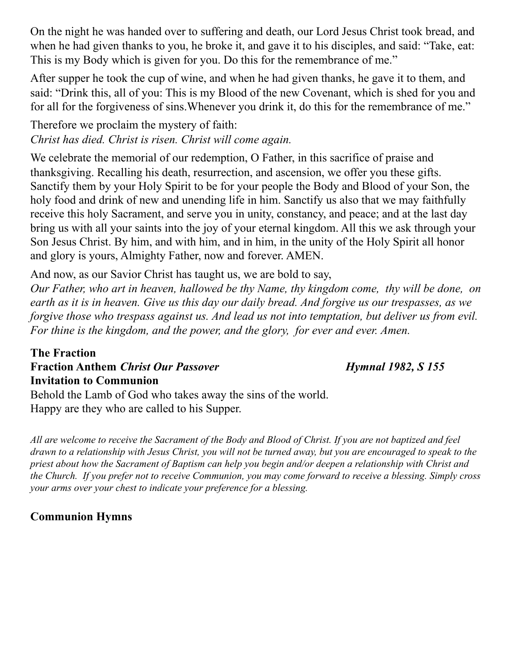On the night he was handed over to suffering and death, our Lord Jesus Christ took bread, and when he had given thanks to you, he broke it, and gave it to his disciples, and said: "Take, eat: This is my Body which is given for you. Do this for the remembrance of me."

After supper he took the cup of wine, and when he had given thanks, he gave it to them, and said: "Drink this, all of you: This is my Blood of the new Covenant, which is shed for you and for all for the forgiveness of sins.Whenever you drink it, do this for the remembrance of me."

Therefore we proclaim the mystery of faith: *Christ has died. Christ is risen. Christ will come again.*

We celebrate the memorial of our redemption, O Father, in this sacrifice of praise and thanksgiving. Recalling his death, resurrection, and ascension, we offer you these gifts. Sanctify them by your Holy Spirit to be for your people the Body and Blood of your Son, the holy food and drink of new and unending life in him. Sanctify us also that we may faithfully receive this holy Sacrament, and serve you in unity, constancy, and peace; and at the last day bring us with all your saints into the joy of your eternal kingdom. All this we ask through your Son Jesus Christ. By him, and with him, and in him, in the unity of the Holy Spirit all honor and glory is yours, Almighty Father, now and forever. AMEN.

And now, as our Savior Christ has taught us, we are bold to say,

*Our Father, who art in heaven, hallowed be thy Name, thy kingdom come, thy will be done, on earth as it is in heaven. Give us this day our daily bread. And forgive us our trespasses, as we forgive those who trespass against us. And lead us not into temptation, but deliver us from evil. For thine is the kingdom, and the power, and the glory, for ever and ever. Amen.*

# **The Fraction Fraction Anthem** *Christ Our Passover Hymnal 1982, S 155* **Invitation to Communion**

Behold the Lamb of God who takes away the sins of the world. Happy are they who are called to his Supper.

*All are welcome to receive the Sacrament of the Body and Blood of Christ. If you are not baptized and feel drawn to a relationship with Jesus Christ, you will not be turned away, but you are encouraged to speak to the priest about how the Sacrament of Baptism can help you begin and/or deepen a relationship with Christ and the Church. If you prefer not to receive Communion, you may come forward to receive a blessing. Simply cross your arms over your chest to indicate your preference for a blessing.*

# **Communion Hymns**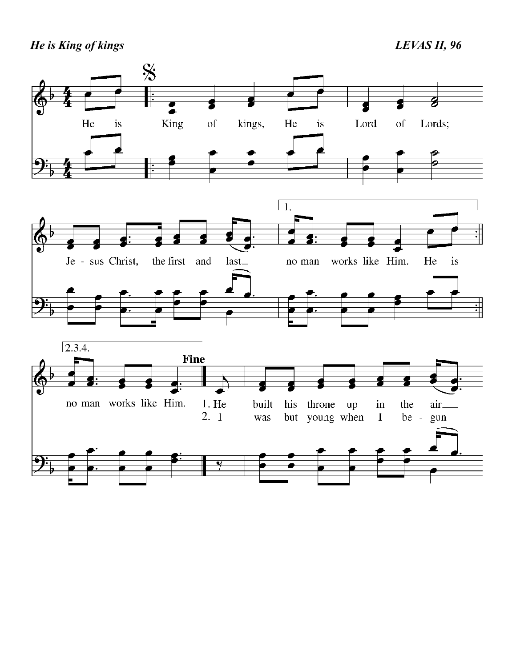# *He is King of kings LEVAS II, 96*

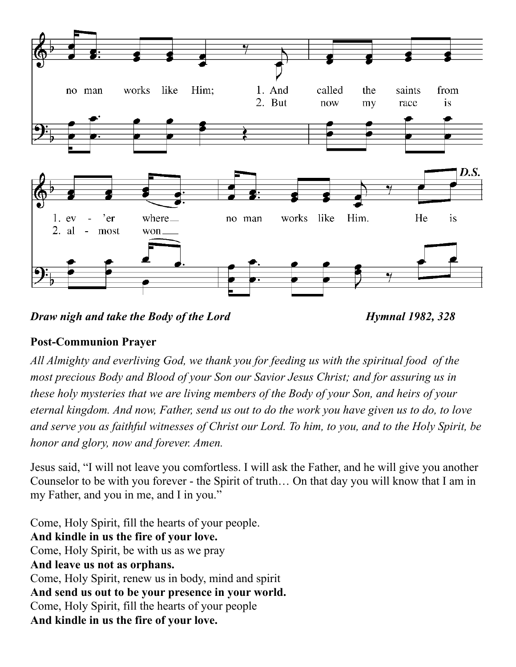

*Draw nigh and take the Body of the Lord Hymnal 1982, 328* 

# **Post-Communion Prayer**

*All Almighty and everliving God, we thank you for feeding us with the spiritual food of the most precious Body and Blood of your Son our Savior Jesus Christ; and for assuring us in these holy mysteries that we are living members of the Body of your Son, and heirs of your eternal kingdom. And now, Father, send us out to do the work you have given us to do, to love and serve you as faithful witnesses of Christ our Lord. To him, to you, and to the Holy Spirit, be honor and glory, now and forever. Amen.*

Jesus said, "I will not leave you comfortless. I will ask the Father, and he will give you another Counselor to be with you forever - the Spirit of truth… On that day you will know that I am in my Father, and you in me, and I in you."

Come, Holy Spirit, fill the hearts of your people. **And kindle in us the fire of your love.** Come, Holy Spirit, be with us as we pray **And leave us not as orphans.** Come, Holy Spirit, renew us in body, mind and spirit **And send us out to be your presence in your world.** Come, Holy Spirit, fill the hearts of your people **And kindle in us the fire of your love.**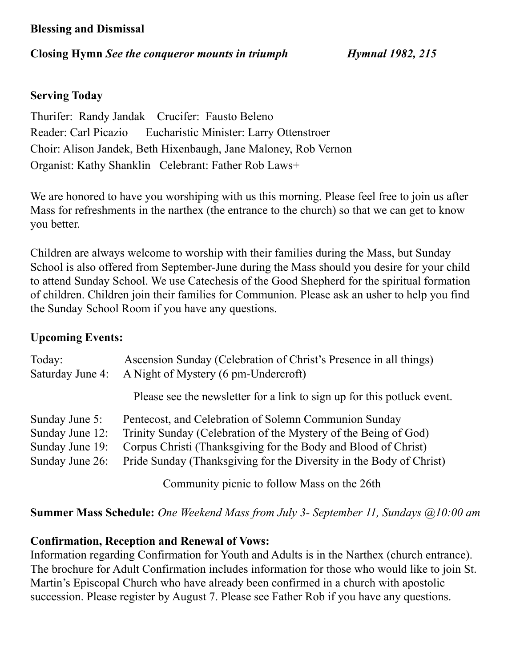## **Blessing and Dismissal**

### **Closing Hymn** *See the conqueror mounts in triumph Hymnal 1982, 215*

### **Serving Today**

Thurifer: Randy Jandak Crucifer: Fausto Beleno Reader: Carl Picazio Eucharistic Minister: Larry Ottenstroer Choir: Alison Jandek, Beth Hixenbaugh, Jane Maloney, Rob Vernon Organist: Kathy Shanklin Celebrant: Father Rob Laws+

We are honored to have you worshiping with us this morning. Please feel free to join us after Mass for refreshments in the narthex (the entrance to the church) so that we can get to know you better.

Children are always welcome to worship with their families during the Mass, but Sunday School is also offered from September-June during the Mass should you desire for your child to attend Sunday School. We use Catechesis of the Good Shepherd for the spiritual formation of children. Children join their families for Communion. Please ask an usher to help you find the Sunday School Room if you have any questions.

# **Upcoming Events:**

| Today:            | Ascension Sunday (Celebration of Christ's Presence in all things)       |
|-------------------|-------------------------------------------------------------------------|
| Saturday June 4:  | A Night of Mystery (6 pm-Undercroft)                                    |
|                   | Please see the newsletter for a link to sign up for this potluck event. |
| Sunday June $5$ : | Pentecost, and Celebration of Solemn Communion Sunday                   |
| Sunday June 12:   | Trinity Sunday (Celebration of the Mystery of the Being of God)         |
| Sunday June 19:   | Corpus Christi (Thanksgiving for the Body and Blood of Christ)          |
| Sunday June 26:   | Pride Sunday (Thanksgiving for the Diversity in the Body of Christ)     |

Community picnic to follow Mass on the 26th

**Summer Mass Schedule:** *One Weekend Mass from July 3- September 11, Sundays @10:00 am*

### **Confirmation, Reception and Renewal of Vows:**

Information regarding Confirmation for Youth and Adults is in the Narthex (church entrance). The brochure for Adult Confirmation includes information for those who would like to join St. Martin's Episcopal Church who have already been confirmed in a church with apostolic succession. Please register by August 7. Please see Father Rob if you have any questions.